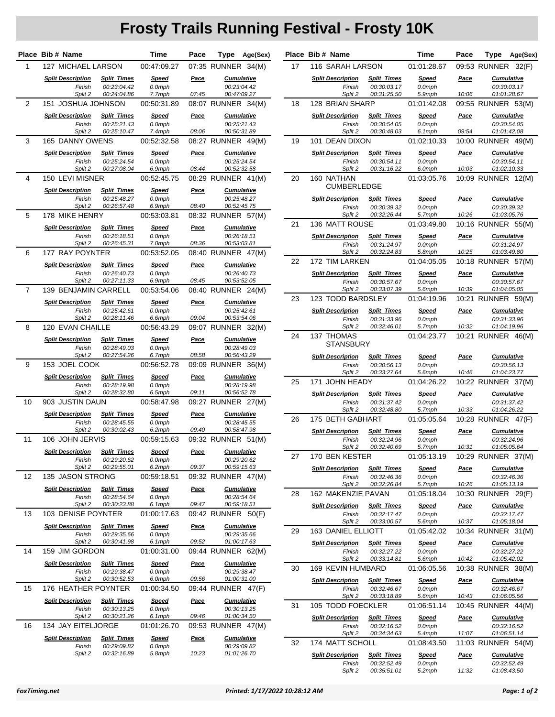## **Frosty Trails Running Festival - Frosty 10K**

|                | Place Bib # Name                              |                                                  | Time                             | Pace          | Type               | Age(Sex)                                        |    | Place Bib # Name                              |                                                  | Time                      | Pace          | Type               | Age(Sex)                                        |
|----------------|-----------------------------------------------|--------------------------------------------------|----------------------------------|---------------|--------------------|-------------------------------------------------|----|-----------------------------------------------|--------------------------------------------------|---------------------------|---------------|--------------------|-------------------------------------------------|
| $\mathbf{1}$   | 127 MICHAEL LARSON                            |                                                  | 00:47:09.27                      |               | 07:35 RUNNER 34(M) |                                                 | 17 | 116 SARAH LARSON                              |                                                  | 01:01:28.67               |               | 09:53 RUNNER 32(F) |                                                 |
|                | <b>Split Description</b><br>Finish            | <b>Split Times</b><br>00:23:04.42                | <b>Speed</b><br>0.0mph           | Pace          |                    | <b>Cumulative</b><br>00:23:04.42                |    | <b>Split Description</b><br>Finish            | <b>Split Times</b><br>00:30:03.17                | <b>Speed</b><br>0.0mph    | <u>Pace</u>   |                    | <b>Cumulative</b><br>00:30:03.17                |
|                | Split 2                                       | 00:24:04.86                                      | 7.7mph                           | 07:45         |                    | 00:47:09.27                                     |    | Split 2                                       | 00:31:25.50                                      | 5.9mph                    | 10:06         |                    | 01:01:28.67                                     |
| 2              | 151 JOSHUA JOHNSON                            |                                                  | 00:50:31.89                      |               | 08:07 RUNNER 34(M) |                                                 | 18 | 128 BRIAN SHARP                               |                                                  | 01:01:42.08               |               | 09:55 RUNNER 53(M) |                                                 |
|                | <b>Split Description</b><br>Finish<br>Split 2 | <b>Split Times</b><br>00:25:21.43<br>00:25:10.47 | <b>Speed</b><br>0.0mph<br>7.4mph | Pace<br>08:06 |                    | <b>Cumulative</b><br>00:25:21.43<br>00:50:31.89 |    | <b>Split Description</b><br>Finish<br>Split 2 | <b>Split Times</b><br>00:30:54.05<br>00:30:48.03 | Speed<br>0.0mph<br>6.1mph | Pace<br>09:54 |                    | <b>Cumulative</b><br>00:30:54.05<br>01:01:42.08 |
| 3              | <b>165 DANNY OWENS</b>                        |                                                  | 00:52:32.58                      |               | 08:27 RUNNER 49(M) |                                                 | 19 | 101 DEAN DIXON                                |                                                  | 01:02:10.33               |               | 10:00 RUNNER 49(M) |                                                 |
|                | <b>Split Description</b>                      | <b>Split Times</b>                               | <b>Speed</b>                     | Pace          |                    | <b>Cumulative</b>                               |    | <b>Split Description</b>                      | <b>Split Times</b>                               | <b>Speed</b>              | <b>Pace</b>   |                    | <b>Cumulative</b>                               |
|                | Finish<br>Split 2                             | 00:25:24.54<br>00:27:08.04                       | 0.0mph<br>6.9mph                 | 08:44         |                    | 00:25:24.54<br>00:52:32.58                      |    | Finish<br>Split 2                             | 00:30:54.11<br>00:31:16.22                       | 0.0mph<br>6.0mph          | 10:03         |                    | 00:30:54.11<br>01:02:10.33                      |
| 4              | 150 LEVI MISNER                               |                                                  | 00:52:45.75                      |               | 08:29 RUNNER 41(M) |                                                 | 20 | 160 NATHAN<br><b>CUMBERLEDGE</b>              |                                                  | 01:03:05.76               |               | 10:09 RUNNER 12(M) |                                                 |
|                | <b>Split Description</b><br>Finish            | <b>Split Times</b><br>00:25:48.27                | Speed<br>0.0mph                  | Pace          |                    | <b>Cumulative</b><br>00:25:48.27                |    |                                               |                                                  |                           |               |                    |                                                 |
|                | Split 2                                       | 00:26:57.48                                      | 6.9mph                           | 08:40         |                    | 00:52:45.75                                     |    | <b>Split Description</b><br>Finish            | <b>Split Times</b><br>00:30:39.32                | <b>Speed</b><br>0.0mph    | Pace          |                    | <b>Cumulative</b><br>00:30:39.32                |
| 5              | 178 MIKE HENRY                                |                                                  | 00:53:03.81                      |               | 08:32 RUNNER 57(M) |                                                 |    | Split 2                                       | 00:32:26.44                                      | 5.7mph                    | 10:26         |                    | 01:03:05.76                                     |
|                | <b>Split Description</b>                      | <b>Split Times</b>                               | <b>Speed</b>                     | Pace          |                    | <b>Cumulative</b>                               | 21 | 136 MATT ROUSE                                |                                                  | 01:03:49.80               |               | 10:16 RUNNER 55(M) |                                                 |
|                | Finish                                        | 00:26:18.51                                      | 0.0mph                           |               |                    | 00:26:18.51                                     |    | <b>Split Description</b>                      | <b>Split Times</b>                               | <b>Speed</b>              | <u>Pace</u>   |                    | <b>Cumulative</b>                               |
|                | Split 2                                       | 00:26:45.31                                      | 7.0mph                           | 08:36         |                    | 00:53:03.81                                     |    | Finish                                        | 00:31:24.97                                      | 0.0mph                    |               |                    | 00:31:24.97                                     |
| 6              | 177 RAY POYNTER                               |                                                  | 00:53:52.05                      |               | 08:40 RUNNER 47(M) |                                                 | 22 | Split 2<br>172 TIM LARKEN                     | 00:32:24.83                                      | 5.8mph<br>01:04:05.05     | 10:25         | 10:18 RUNNER 57(M) | 01:03:49.80                                     |
|                | <b>Split Description</b>                      | <b>Split Times</b>                               | <b>Speed</b>                     | Pace          |                    | <b>Cumulative</b>                               |    |                                               |                                                  |                           |               |                    |                                                 |
|                | Finish<br>Split 2                             | 00:26:40.73<br>00:27:11.33                       | 0.0mph<br>6.9mph                 | 08:45         |                    | 00:26:40.73<br>00:53:52.05                      |    | <b>Split Description</b><br>Finish            | <b>Split Times</b><br>00:30:57.67                | <b>Speed</b><br>0.0mph    | <u>Pace</u>   |                    | <b>Cumulative</b><br>00:30:57.67                |
| $\overline{7}$ | <b>139 BENJAMIN CARRELL</b>                   |                                                  | 00:53:54.06                      |               | 08:40 RUNNER 24(M) |                                                 |    | Split 2                                       | 00:33:07.39                                      | 5.6mph                    | 10:39         |                    | 01:04:05.05                                     |
|                | <b>Split Description</b>                      | <b>Split Times</b>                               | <b>Speed</b>                     | Pace          |                    | <b>Cumulative</b>                               | 23 | 123 TODD BARDSLEY                             |                                                  | 01:04:19.96               |               | 10:21 RUNNER 59(M) |                                                 |
|                | Finish                                        | 00:25:42.61                                      | 0.0mph                           |               |                    | 00:25:42.61                                     |    | <b>Split Description</b>                      | <b>Split Times</b>                               | <b>Speed</b>              | Pace          |                    | <b>Cumulative</b>                               |
|                | Split 2                                       | 00:28:11.46                                      | 6.6mph                           | 09:04         |                    | 00:53:54.06                                     |    | Finish                                        | 00:31:33.96                                      | 0.0mph                    |               |                    | 00:31:33.96                                     |
| 8              | 120 EVAN CHAILLE                              |                                                  | 00:56:43.29                      |               | 09:07 RUNNER 32(M) |                                                 |    | Split 2                                       | 00:32:46.01                                      | 5.7mph                    | 10:32         |                    | 01:04:19.96                                     |
|                | <b>Split Description</b><br>Finish            | <b>Split Times</b><br>00:28:49.03                | <b>Speed</b><br>0.0mph           | <u>Pace</u>   |                    | <b>Cumulative</b><br>00:28:49.03                | 24 | 137 THOMAS<br><b>STANSBURY</b>                |                                                  | 01:04:23.77               |               | 10:21 RUNNER 46(M) |                                                 |
|                | Split 2                                       | 00:27:54.26                                      | 6.7mph                           | 08:58         |                    | 00:56:43.29                                     |    | <b>Split Description</b>                      | <b>Split Times</b>                               | <b>Speed</b>              | Pace          |                    | <b>Cumulative</b>                               |
| 9              | 153 JOEL COOK                                 |                                                  | 00:56:52.78                      |               | 09:09 RUNNER 36(M) |                                                 |    | Finish<br>Split 2                             | 00:30:56.13<br>00:33:27.64                       | 0.0mph<br>5.6mph          | 10:46         |                    | 00:30:56.13<br>01:04:23.77                      |
|                | <b>Split Description</b>                      | <b>Split Times</b>                               | <b>Speed</b>                     | <b>Pace</b>   |                    | <b>Cumulative</b>                               | 25 | 171 JOHN HEADY                                |                                                  | 01:04:26.22               |               | 10:22 RUNNER 37(M) |                                                 |
|                | Finish<br>Split 2                             | 00:28:19.98<br>00:28:32.80                       | 0.0mph<br>6.5mph                 | 09:11         |                    | 00:28:19.98<br>00:56:52.78                      |    |                                               |                                                  |                           |               |                    |                                                 |
| 10             | 903 JUSTIN DAUN                               |                                                  | 00:58:47.98                      |               | 09:27 RUNNER 27(M) |                                                 |    | <b>Split Description</b><br>Finish            | <b>Split Times</b><br>00:31:37.42                | <b>Speed</b><br>0.0mph    | Pace          |                    | <b>Cumulative</b><br>00:31:37.42                |
|                | <b>Split Description</b>                      | <b>Split Times</b>                               | Speed                            | Pace          |                    | <b>Cumulative</b>                               |    | Split 2                                       | 00:32:48.80                                      | 5.7mph                    | 10:33         |                    | 01:04:26.22                                     |
|                | Finish                                        | 00:28:45.55                                      | 0.0mph                           |               |                    | 00:28:45.55                                     | 26 | 175 BETH GABHART                              |                                                  | 01:05:05.64               |               | 10:28 RUNNER 47(F) |                                                 |
|                | Split 2                                       | 00:30:02.43                                      | 6.2mph                           | 09:40         |                    | 00:58:47.98                                     |    | <b>Split Description</b>                      | <b>Split Times</b>                               | <b>Speed</b>              | <u>Pace</u>   |                    | <b>Cumulative</b>                               |
| 11             | 106 JOHN JERVIS                               |                                                  | 00:59:15.63                      |               | 09:32 RUNNER 51(M) |                                                 |    | Finish                                        | 00:32:24.96                                      | 0.0mph                    |               |                    | 00:32:24.96                                     |
|                | <b>Split Description</b>                      | <b>Split Times</b>                               | <b>Speed</b>                     | <u>Pace</u>   |                    | <b>Cumulative</b>                               |    | Split 2                                       | 00:32:40.69                                      | 5./mph<br>01:05:13.19     | 10:31         | 10:29 RUNNER 37(M) | 01:05:05.64                                     |
|                | Finish                                        | 00:29:20.62                                      | 0.0mph                           |               |                    | 00:29:20.62                                     | 27 | 170 BEN KESTER                                |                                                  |                           |               |                    |                                                 |
| 12             | Split 2<br>135 JASON STRONG                   | 00:29:55.01                                      | 6.2mph<br>00:59:18.51            | 09:37         | 09:32 RUNNER 47(M) | 00:59:15.63                                     |    | <b>Split Description</b><br>Finish            | <b>Split Times</b><br>00:32:46.36                | <b>Speed</b><br>$0.0$ mph | <u>Pace</u>   |                    | <b>Cumulative</b><br>00:32:46.36                |
|                |                                               |                                                  |                                  |               |                    |                                                 |    | Split 2                                       | 00:32:26.84                                      | 5.7mph                    | 10:26         |                    | 01:05:13.19                                     |
|                | <b>Split Description</b><br>Finish            | <b>Split Times</b><br>00:28:54.64                | <b>Speed</b><br>0.0mph           | Pace          |                    | <b>Cumulative</b><br>00:28:54.64                | 28 | 162 MAKENZIE PAVAN                            |                                                  | 01:05:18.04               |               | 10:30 RUNNER 29(F) |                                                 |
|                | Split 2                                       | 00:30:23.88                                      | 6.1mph                           | 09:47         |                    | 00:59:18.51                                     |    | <b>Split Description</b>                      | <b>Split Times</b>                               | <b>Speed</b>              | Pace          |                    | <b>Cumulative</b>                               |
| 13             | 103 DENISE POYNTER                            |                                                  | 01:00:17.63                      |               | 09:42 RUNNER 50(F) |                                                 |    | Finish<br>Split 2                             | 00:32:17.47<br>00:33:00.57                       | $0.0$ mph<br>5.6mph       | 10:37         |                    | 00:32:17.47<br>01:05:18.04                      |
|                | <b>Split Description</b><br>Finish            | <b>Split Times</b>                               | <b>Speed</b>                     | <u>Pace</u>   |                    | <b>Cumulative</b><br>00:29:35.66                | 29 | 163 DANIEL ELLIOTT                            |                                                  | 01:05:42.02               |               | 10:34 RUNNER 31(M) |                                                 |
|                | Split 2                                       | 00:29:35.66<br>00:30:41.98                       | 0.0mph<br>6.1mph                 | 09:52         |                    | 01:00:17.63                                     |    | <b>Split Description</b>                      | <b>Split Times</b>                               | <u>Speed</u>              | <u>Pace</u>   |                    | <b>Cumulative</b>                               |
| 14             | 159 JIM GORDON                                |                                                  | 01:00:31.00                      |               | 09:44 RUNNER 62(M) |                                                 |    | Finish                                        | 00:32:27.22                                      | $0.0$ mph                 |               |                    | 00:32:27.22                                     |
|                | <b>Split Description</b>                      | <b>Split Times</b>                               | <b>Speed</b>                     | <u>Pace</u>   |                    | <b>Cumulative</b>                               |    | Split 2                                       | 00:33:14.81                                      | 5.6mph                    | 10:42         |                    | 01:05:42.02                                     |
|                | Finish<br>Split 2                             | 00:29:38.47<br>00:30:52.53                       | 0.0mph<br>6.0mph                 | 09:56         |                    | 00:29:38.47<br>01:00:31.00                      | 30 | 169 KEVIN HUMBARD                             |                                                  | 01:06:05.56               |               | 10:38 RUNNER 38(M) |                                                 |
| 15             | 176 HEATHER POYNTER                           |                                                  | 01:00:34.50                      |               | 09:44 RUNNER 47(F) |                                                 |    | <b>Split Description</b><br>Finish            | <b>Split Times</b><br>00:32:46.67                | <b>Speed</b><br>$0.0$ mph | <b>Pace</b>   |                    | <b>Cumulative</b><br>00:32:46.67                |
|                |                                               |                                                  |                                  |               |                    |                                                 |    | Split 2                                       | 00:33:18.89                                      | 5.6mph                    | 10:43         |                    | 01:06:05.56                                     |
|                | <b>Split Description</b><br>Finish            | <b>Split Times</b><br>00:30:13.25                | <u>Speed</u><br>0.0mph           | <u>Pace</u>   |                    | <b>Cumulative</b><br>00:30:13.25                | 31 | 105 TODD FOECKLER                             |                                                  | 01:06:51.14               |               | 10:45 RUNNER 44(M) |                                                 |
|                | Split 2                                       | 00:30:21.26                                      | 6.1mph                           | 09:46         |                    | 01:00:34.50                                     |    | <b>Split Description</b>                      | <b>Split Times</b>                               | <u>Speed</u>              | <u>Pace</u>   |                    | <b>Cumulative</b>                               |
| 16             | 134 JAY EITELJORGE                            |                                                  | 01:01:26.70                      |               | 09:53 RUNNER 47(M) |                                                 |    | Finish<br>Split 2                             | 00:32:16.52<br>00:34:34.63                       | 0.0mph<br>5.4mph          | 11:07         |                    | 00:32:16.52<br>01:06:51.14                      |
|                | <b>Split Description</b><br>Finish            | <b>Split Times</b><br>00:29:09.82                | <b>Speed</b><br>0.0mph           | <u>Pace</u>   |                    | <b>Cumulative</b><br>00:29:09.82                | 32 | 174 MATT SCHOLL                               |                                                  | 01:08:43.50               |               | 11:03 RUNNER 54(M) |                                                 |
|                | Split 2                                       | 00:32:16.89                                      | 5.8mph                           | 10:23         |                    | 01:01:26.70                                     |    | <b>Split Description</b>                      | <b>Split Times</b>                               | <b>Speed</b>              | <u>Pace</u>   |                    | <b>Cumulative</b>                               |

|    | Place Bib # Name                    |                                      | Time                        | Pace           | Type                              | Age(Sex) |  |
|----|-------------------------------------|--------------------------------------|-----------------------------|----------------|-----------------------------------|----------|--|
| 17 | <b>116 SARAH LARSON</b>             |                                      | 01:01:28.67                 |                | 09:53 RUNNER                      | 32(F)    |  |
|    | <b>Split Description</b>            | <b>Split Times</b>                   | <u>Speed</u>                | <u>Pace</u>    | <b>Cumulative</b>                 |          |  |
|    | Finish                              | 00:30:03.17                          |                             |                | 00:30:03.17                       |          |  |
| 18 | Split 2                             | 00:31:25.50                          | 5.9mph<br>01:01:42.08       | 10:06          | 01:01:28.67<br>09:55 RUNNER 53(M) |          |  |
|    |                                     | 128 BRIAN SHARP                      |                             |                |                                   |          |  |
|    | <b>Split Description</b><br>Finish  | <b>Split Times</b><br>00:30:54.05    | <u>Speed</u><br>0.0mph      | Pace           | <b>Cumulative</b><br>00:30:54.05  |          |  |
|    | Split 2                             | 00:30:48.03                          |                             | 09:54          | 01:01:42.08                       |          |  |
| 19 | 101 DEAN DIXON                      |                                      | 01:02:10.33                 |                | 10:00 RUNNER                      | 49(M)    |  |
|    | <b>Split Description</b>            | <b>Split Times</b>                   | <u>Speed</u>                | Pace           | <b>Cumulative</b>                 |          |  |
|    | Finish                              | 00:30:54.11                          | 0.0mph                      |                | 00:30:54.11                       |          |  |
| 20 | Split 2<br>160 NATHAN               | 00:31:16.22                          | 6.0mph<br>01:03:05.76       | 10:03          | 01:02:10.33<br>10:09 RUNNER       | 12(M)    |  |
|    | <b>CUMBERLEDGE</b>                  |                                      |                             |                |                                   |          |  |
|    | <b>Split Description</b>            | <b>Split Times</b>                   | <u>Speed</u>                | Pace           | <b>Cumulative</b>                 |          |  |
|    | Finish                              | 00:30:39.32                          | 0.0mph                      |                | 00:30:39.32                       |          |  |
|    | Split 2                             | 00:32:26.44                          | 5.7mph                      | 10:26          | 01:03:05.76                       |          |  |
| 21 | 136 MATT ROUSE                      |                                      | 01:03:49.80                 |                | 10:16 RUNNER                      | 55(M)    |  |
|    | <b>Split Description</b><br>Finish  | <b>Split Times</b><br>00:31:24.97    | <u>Speed</u><br>0.0mph      | Pace           | <b>Cumulative</b><br>00:31:24.97  |          |  |
|    | Split 2                             | 00:32:24.83                          | 5.8mph                      | 10:25          | 01:03:49.80                       |          |  |
| 22 | <b>172 TIM LARKEN</b>               |                                      | 01:04:05.05                 |                | <b>10:18 RUNNER</b>               | 57(M)    |  |
|    | <b>Split Description</b>            | <b>Split Times</b>                   | <u>Speed</u>                | Pace           | <b>Cumulative</b>                 |          |  |
|    | Finish                              | 00:30:57.67                          | 0.0mph                      |                | 00:30:57.67<br>01:04:05.05        |          |  |
| 23 | Split 2<br>123 TODD BARDSLEY        | 00:33:07.39                          | 5.6mph<br>01:04:19.96       | 10:39<br>10:21 | RUNNER 59(M)                      |          |  |
|    |                                     |                                      |                             |                |                                   |          |  |
|    | <b>Split Description</b><br>Finish  | <b>Split Times</b><br>00:31:33.96    | <b>Speed</b><br>0.0mph      | Pace           | <b>Cumulative</b><br>00:31:33.96  |          |  |
|    | Split 2                             | 00:32:46.01                          | 5.7mph                      | 10:32          | 01:04:19.96                       |          |  |
| 24 | <b>137 THOMAS</b><br>STANSBURY      |                                      | 01:04:23.77                 |                | 10:21 RUNNER                      | 46(M)    |  |
|    | <b>Split Description</b>            | <b>Split Times</b>                   |                             | Pace           | <b>Cumulative</b>                 |          |  |
|    | Finish                              | 00:30:56.13                          | 0.0mph                      |                | 00:30:56.13                       |          |  |
| 25 | Split 2<br>171 JOHN HEADY           | 00:33:27.64                          | 5.6mph<br>01:04:26.22       | 10:46          | 01:04:23.77<br>10:22 RUNNER       | 37(M)    |  |
|    |                                     |                                      |                             |                |                                   |          |  |
|    | <b>Split Description</b><br>Finish  | <b>Split Times</b><br>00:31:37.42    | <u>Speed</u><br>0.0mph      | Pace           | <b>Cumulative</b><br>00:31:37.42  |          |  |
|    | Split 2                             | 00:32:48.80                          |                             | 10:33          | 01:04:26.22                       |          |  |
| 26 | 175 BETH GABHART                    |                                      | 01:05:05.64                 |                | <b>10:28 RUNNER</b><br>47(F)      |          |  |
|    | <b>Split Description</b>            | <b>Split Times</b>                   |                             | Pace           | <b>Cumulative</b>                 |          |  |
|    | Split 2                             | 00:32:24.96<br>Finish<br>00:32:40.69 |                             | 10:31          | 00:32:24.96<br>01:05:05.64        |          |  |
| 27 |                                     | 170 BEN KESTER                       |                             |                | 10:29 RUNNER<br>37(M)             |          |  |
|    | <b>Split Description</b>            | <b>Split Times</b>                   | 01:05:13.19<br><b>Speed</b> | Pace           | <u>Cumulative</u>                 |          |  |
|    | Finish                              | 00:32:46.36                          | 0.0mph                      |                | 00:32:46.36                       |          |  |
|    | Split 2                             | 00:32:26.84                          | 5.7mph                      | 10:26          | 01:05:13.19                       |          |  |
| 28 | 162 MAKENZIE PAVAN                  |                                      | 01:05:18.04                 |                | 10:30 RUNNER                      | 29(F)    |  |
|    | <b>Split Description</b><br>Finish  | <b>Split Times</b><br>00:32:17.47    | <b>Speed</b><br>0.0mph      | <u>Pace</u>    | <b>Cumulative</b><br>00:32:17.47  |          |  |
|    | Split 2                             | 00:33:00.57                          | 5.6mph                      | 10:37          | 01:05:18.04                       |          |  |
| 29 | 163 DANIEL ELLIOTT                  |                                      | 01:05:42.02                 |                | 10:34 RUNNER 31(M)                |          |  |
|    | <b>Split Description</b>            | <b>Split Times</b>                   | <u>Speed</u>                | Pace           | <b>Cumulative</b>                 |          |  |
|    | Finish                              | 00:32:27.22                          | 0.0mph                      | 10:42          | 00:32:27.22<br>01:05:42.02        |          |  |
| 30 | Split 2<br><b>169 KEVIN HUMBARD</b> | 00:33:14.81                          | 5.6mph<br>01:06:05.56       |                | 10:38 RUNNER                      | 38(M)    |  |
|    |                                     |                                      |                             |                | <b>Cumulative</b>                 |          |  |
|    | <b>Split Description</b><br>Finish  | <b>Split Times</b><br>00:32:46.67    | <u>Speed</u><br>0.0mph      | <u>Pace</u>    | 00:32:46.67                       |          |  |
|    | Split 2                             | 00:33:18.89                          | 5.6mph                      | 10:43          | 01:06:05.56                       |          |  |
| 31 | 105 TODD FOECKLER                   |                                      | 01:06:51.14                 |                | 10:45 RUNNER 44(M)                |          |  |
|    | <b>Split Description</b>            | <b>Split Times</b>                   |                             | <u>Pace</u>    | <b>Cumulative</b>                 |          |  |
|    | Finish<br>Split 2                   | 00:32:16.52<br>00:34:34.63           | 0.0mph<br>5.4mph            | 11:07          | 00:32:16.52<br>01:06:51.14        |          |  |
| 32 | 174 MATT SCHOLL                     |                                      | 01:08:43.50                 |                | 11:03 RUNNER                      | 54(M)    |  |
|    | <b>Split Description</b>            | <b>Split Times</b>                   | <b>Speed</b>                | <u>Pace</u>    | <b>Cumulative</b>                 |          |  |
|    | Finish                              | 00:32:52.49                          | 0.0mph                      |                | 00:32:52.49                       |          |  |
|    | Split 2                             | 00:35:51.01                          | 5.2mph                      | 11:32          | 01:08:43.50                       |          |  |